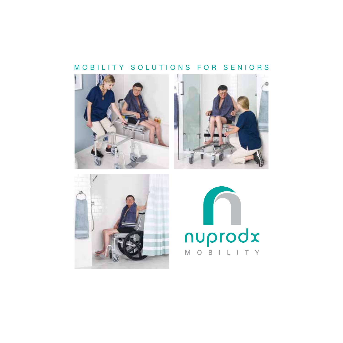### MOBILITY SOLUTIONS FOR SENIORS







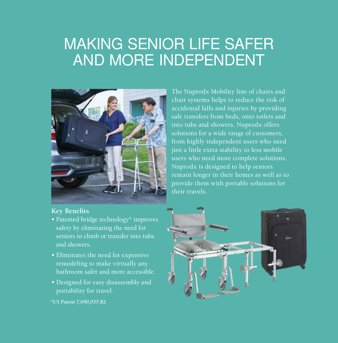## MAKING SENIOR LIFE SAFER AND MORE INDEPENDENT



#### **Key Benefits**

- Patented bridge technology\* improves safety by eliminating the need for seniors to climb or transfer into tubs and showers.
- Eliminates the need for expensive remodeling to make virtually any bathroom safer and more accessible.
- Designed for easy disassembly and portability for travel.

*\*US Patent 7,690,055 B2*

The Nuprodx Mobility line of chairs and chair systems helps to reduce the risk of accidental falls and injuries by providing safe transfers from beds, onto toilets and into tubs and showers. Nuprodx offers solutions for a wide range of customers, from highly independent users who need just a little extra stability to less mobile users who need more complete solutions. Nuprodx is designed to help seniors remain longer in their homes as well as to provide them with portable solutions for their travels.

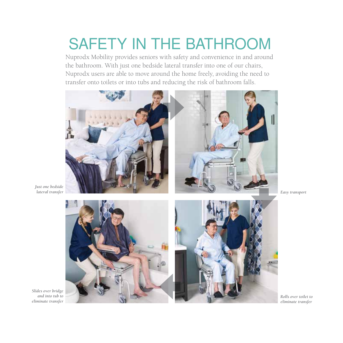# SAFETY IN THE BATHROOM

Nuprodx Mobility provides seniors with safety and convenience in and around the bathroom. With just one bedside lateral transfer into one of our chairs, Nuprodx users are able to move around the home freely, avoiding the need to transfer onto toilets or into tubs and reducing the risk of bathroom falls.



*Just one bedside* 







*Rolls over toilet to eliminate transfer*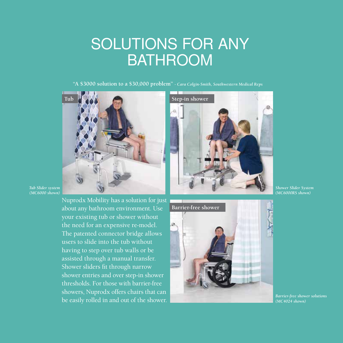## SOLUTIONS FOR ANY **BATHROOM**

**"A \$3000 solution to a \$30,000 problem"** *- Cara Colgin-Smith, Southwestern Medical Reps*





*Tub Slider system (MC6000 shown)*

> Nuprodx Mobility has a solution for just about any bathroom environment. Use your existing tub or shower without the need for an expensive re-model. The patented connector bridge allows users to slide into the tub without having to step over tub walls or be assisted through a manual transfer. Shower sliders fit through narrow shower entries and over step-in shower thresholds. For those with barrier-free showers, Nuprodx offers chairs that can be easily rolled in and out of the shower.



*Shower Slider System (MC6000RS shown)*

*Barrier-free shower solutions (MC4024 shown)*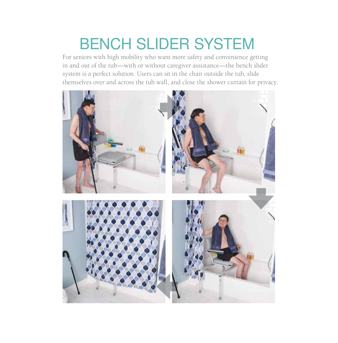# BENCH SLIDER SYSTEM

For seniors with high mobility who want more safety and convenience getting in and out of the tub—with or without caregiver assistance—the bench slider system is a perfect solution. Users can sit in the chair outside the tub, slide themselves over and across the tub wall, and close the shower curtain for privacy.